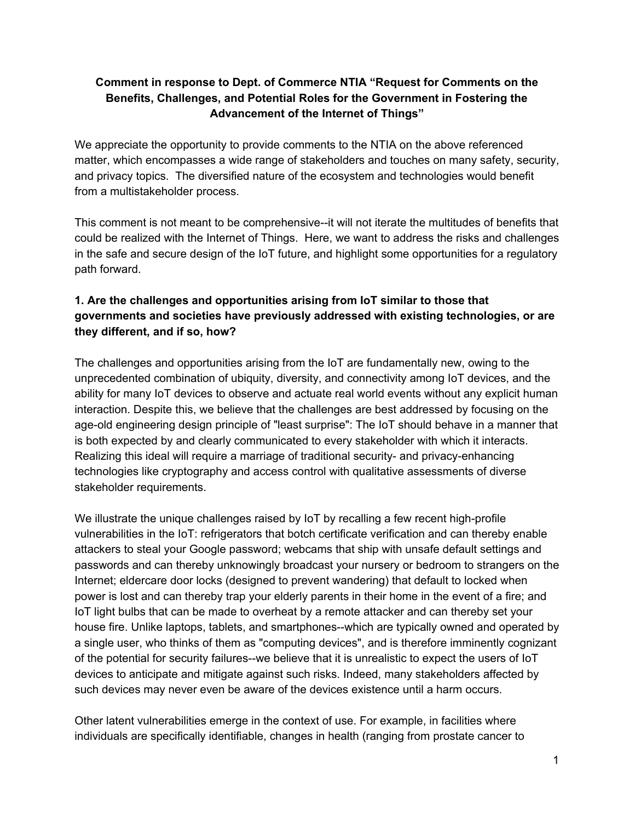#### **Comment in response to Dept. of Commerce NTIA "Request for Comments on the Benefits, Challenges, and Potential Roles for the Government in Fostering the Advancement of the Internet of Things"**

We appreciate the opportunity to provide comments to the NTIA on the above referenced matter, which encompasses a wide range of stakeholders and touches on many safety, security, and privacy topics. The diversified nature of the ecosystem and technologies would benefit from a multistakeholder process.

This comment is not meant to be comprehensive--it will not iterate the multitudes of benefits that could be realized with the Internet of Things. Here, we want to address the risks and challenges in the safe and secure design of the IoT future, and highlight some opportunities for a regulatory path forward.

# **1. Are the challenges and opportunities arising from IoT similar to those that governments and societies have previously addressed with existing technologies, or are they different, and if so, how?**

The challenges and opportunities arising from the IoT are fundamentally new, owing to the unprecedented combination of ubiquity, diversity, and connectivity among IoT devices, and the ability for many IoT devices to observe and actuate real world events without any explicit human interaction. Despite this, we believe that the challenges are best addressed by focusing on the age-old engineering design principle of "least surprise": The IoT should behave in a manner that is both expected by and clearly communicated to every stakeholder with which it interacts. Realizing this ideal will require a marriage of traditional security- and privacy-enhancing technologies like cryptography and access control with qualitative assessments of diverse stakeholder requirements.

We illustrate the unique challenges raised by IoT by recalling a few recent high-profile vulnerabilities in the IoT: refrigerators that botch certificate verification and can thereby enable attackers to steal your Google password; webcams that ship with unsafe default settings and passwords and can thereby unknowingly broadcast your nursery or bedroom to strangers on the Internet; eldercare door locks (designed to prevent wandering) that default to locked when power is lost and can thereby trap your elderly parents in their home in the event of a fire; and IoT light bulbs that can be made to overheat by a remote attacker and can thereby set your house fire. Unlike laptops, tablets, and smartphones--which are typically owned and operated by a single user, who thinks of them as "computing devices", and is therefore imminently cognizant of the potential for security failures--we believe that it is unrealistic to expect the users of IoT devices to anticipate and mitigate against such risks. Indeed, many stakeholders affected by such devices may never even be aware of the devices existence until a harm occurs.

Other latent vulnerabilities emerge in the context of use. For example, in facilities where individuals are specifically identifiable, changes in health (ranging from prostate cancer to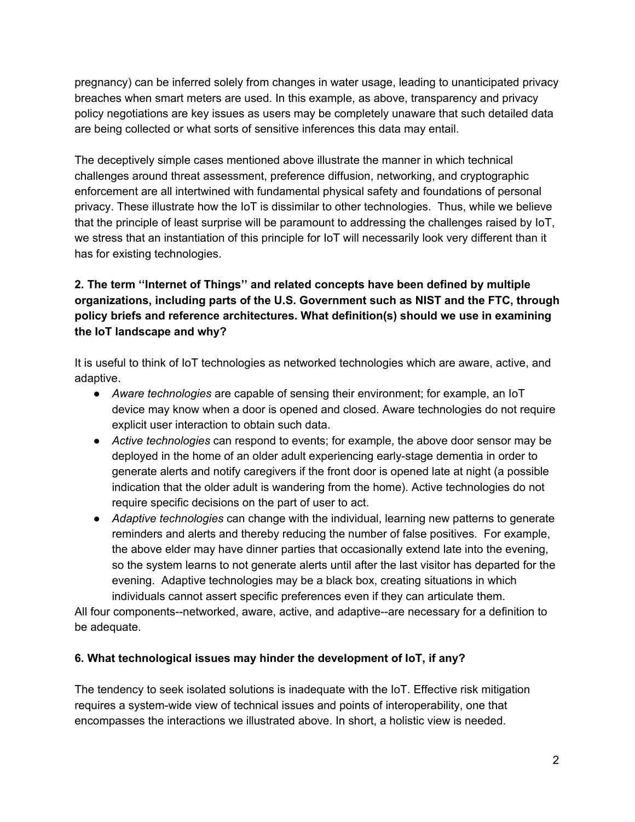pregnancy) can be inferred solely from changes in water usage, leading to unanticipated privacy breaches when smart meters are used. In this example, as above, transparency and privacy policy negotiations are key issues as users may be completely unaware that such detailed data are being collected or what sorts of sensitive inferences this data may entail.

The deceptively simple cases mentioned above illustrate the manner in which technical challenges around threat assessment, preference diffusion, networking, and cryptographic enforcement are all intertwined with fundamental physical safety and foundations of personal privacy. These illustrate how the IoT is dissimilar to other technologies. Thus, while we believe that the principle of least surprise will be paramount to addressing the challenges raised by IoT, we stress that an instantiation of this principle for IoT will necessarily look very different than it has for existing technologies.

# **2. The term ''Internet of Things'' and related concepts have been defined by multiple organizations, including parts of the U.S. Government such as NIST and the FTC, through policy briefs and reference architectures. What definition(s) should we use in examining the IoT landscape and why?**

It is useful to think of IoT technologies as networked technologies which are aware, active, and adaptive.

- *Aware technologies* are capable of sensing their environment; for example, an IoT device may know when a door is opened and closed. Aware technologies do not require explicit user interaction to obtain such data.
- *Active technologies* can respond to events; for example, the above door sensor may be deployed in the home of an older adult experiencing early-stage dementia in order to generate alerts and notify caregivers if the front door is opened late at night (a possible indication that the older adult is wandering from the home). Active technologies do not require specific decisions on the part of user to act.
- *Adaptive technologies* can change with the individual, learning new patterns to generate reminders and alerts and thereby reducing the number of false positives. For example, the above elder may have dinner parties that occasionally extend late into the evening, so the system learns to not generate alerts until after the last visitor has departed for the evening. Adaptive technologies may be a black box, creating situations in which individuals cannot assert specific preferences even if they can articulate them.

All four components--networked, aware, active, and adaptive--are necessary for a definition to be adequate.

# **6. What technological issues may hinder the development of IoT, if any?**

The tendency to seek isolated solutions is inadequate with the IoT. Effective risk mitigation requires a system-wide view of technical issues and points of interoperability, one that encompasses the interactions we illustrated above. In short, a holistic view is needed.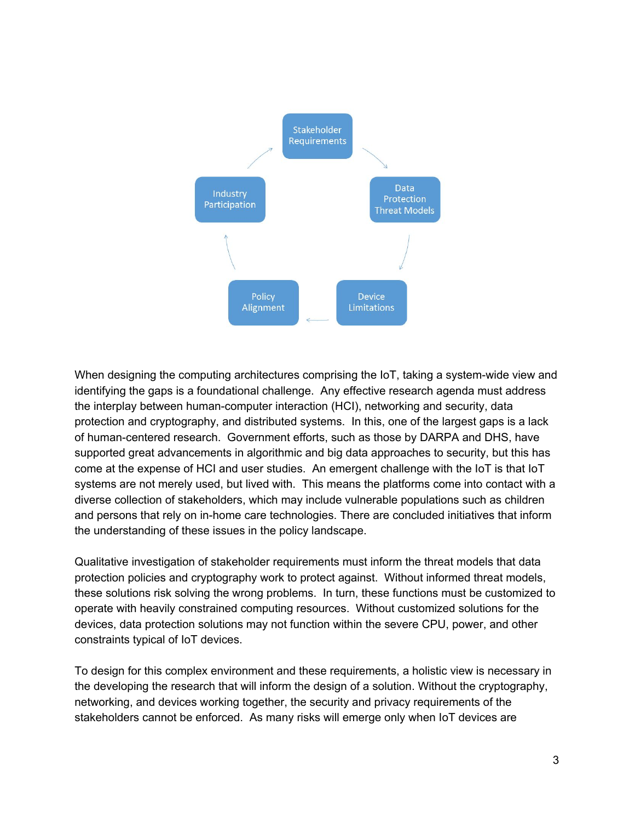

When designing the computing architectures comprising the IoT, taking a system-wide view and identifying the gaps is a foundational challenge. Any effective research agenda must address the interplay between human-computer interaction (HCI), networking and security, data protection and cryptography, and distributed systems. In this, one of the largest gaps is a lack of human-centered research. Government efforts, such as those by DARPA and DHS, have supported great advancements in algorithmic and big data approaches to security, but this has come at the expense of HCI and user studies. An emergent challenge with the IoT is that IoT systems are not merely used, but lived with. This means the platforms come into contact with a diverse collection of stakeholders, which may include vulnerable populations such as children and persons that rely on in-home care technologies. There are concluded initiatives that inform the understanding of these issues in the policy landscape.

Qualitative investigation of stakeholder requirements must inform the threat models that data protection policies and cryptography work to protect against. Without informed threat models, these solutions risk solving the wrong problems. In turn, these functions must be customized to operate with heavily constrained computing resources. Without customized solutions for the devices, data protection solutions may not function within the severe CPU, power, and other constraints typical of IoT devices.

To design for this complex environment and these requirements, a holistic view is necessary in the developing the research that will inform the design of a solution. Without the cryptography, networking, and devices working together, the security and privacy requirements of the stakeholders cannot be enforced. As many risks will emerge only when IoT devices are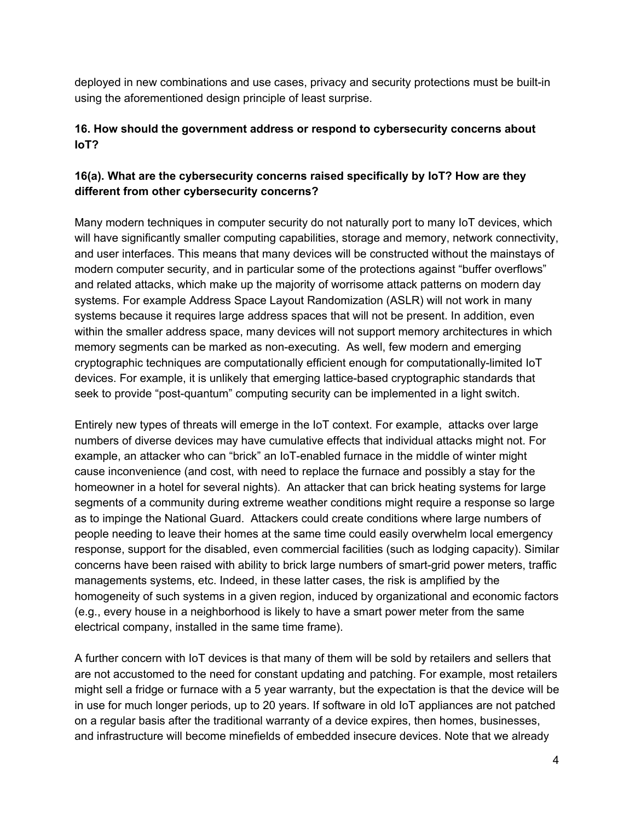deployed in new combinations and use cases, privacy and security protections must be built-in using the aforementioned design principle of least surprise.

## **16. How should the government address or respond to cybersecurity concerns about IoT?**

# **16(a). What are the cybersecurity concerns raised specifically by IoT? How are they different from other cybersecurity concerns?**

Many modern techniques in computer security do not naturally port to many IoT devices, which will have significantly smaller computing capabilities, storage and memory, network connectivity, and user interfaces. This means that many devices will be constructed without the mainstays of modern computer security, and in particular some of the protections against "buffer overflows" and related attacks, which make up the majority of worrisome attack patterns on modern day systems. For example Address Space Layout Randomization (ASLR) will not work in many systems because it requires large address spaces that will not be present. In addition, even within the smaller address space, many devices will not support memory architectures in which memory segments can be marked as non-executing. As well, few modern and emerging cryptographic techniques are computationally efficient enough for computationally-limited IoT devices. For example, it is unlikely that emerging lattice-based cryptographic standards that seek to provide "post-quantum" computing security can be implemented in a light switch.

Entirely new types of threats will emerge in the IoT context. For example, attacks over large numbers of diverse devices may have cumulative effects that individual attacks might not. For example, an attacker who can "brick" an IoT-enabled furnace in the middle of winter might cause inconvenience (and cost, with need to replace the furnace and possibly a stay for the homeowner in a hotel for several nights). An attacker that can brick heating systems for large segments of a community during extreme weather conditions might require a response so large as to impinge the National Guard. Attackers could create conditions where large numbers of people needing to leave their homes at the same time could easily overwhelm local emergency response, support for the disabled, even commercial facilities (such as lodging capacity). Similar concerns have been raised with ability to brick large numbers of smart-grid power meters, traffic managements systems, etc. Indeed, in these latter cases, the risk is amplified by the homogeneity of such systems in a given region, induced by organizational and economic factors (e.g., every house in a neighborhood is likely to have a smart power meter from the same electrical company, installed in the same time frame).

A further concern with IoT devices is that many of them will be sold by retailers and sellers that are not accustomed to the need for constant updating and patching. For example, most retailers might sell a fridge or furnace with a 5 year warranty, but the expectation is that the device will be in use for much longer periods, up to 20 years. If software in old IoT appliances are not patched on a regular basis after the traditional warranty of a device expires, then homes, businesses, and infrastructure will become minefields of embedded insecure devices. Note that we already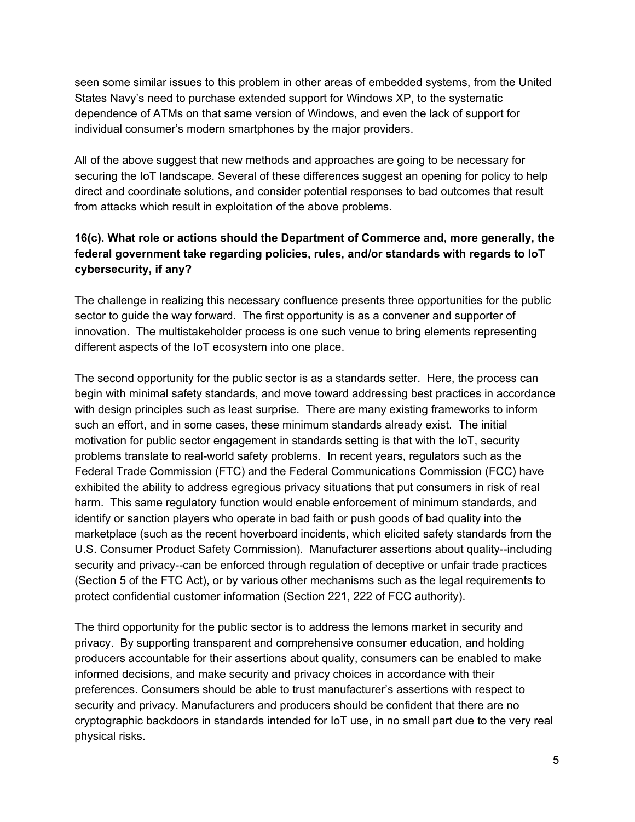seen some similar issues to this problem in other areas of embedded systems, from the United States Navy's need to purchase extended support for Windows XP, to the systematic dependence of ATMs on that same version of Windows, and even the lack of support for individual consumer's modern smartphones by the major providers.

All of the above suggest that new methods and approaches are going to be necessary for securing the IoT landscape. Several of these differences suggest an opening for policy to help direct and coordinate solutions, and consider potential responses to bad outcomes that result from attacks which result in exploitation of the above problems.

## **16(c). What role or actions should the Department of Commerce and, more generally, the federal government take regarding policies, rules, and/or standards with regards to IoT cybersecurity, if any?**

The challenge in realizing this necessary confluence presents three opportunities for the public sector to guide the way forward. The first opportunity is as a convener and supporter of innovation. The multistakeholder process is one such venue to bring elements representing different aspects of the IoT ecosystem into one place.

The second opportunity for the public sector is as a standards setter. Here, the process can begin with minimal safety standards, and move toward addressing best practices in accordance with design principles such as least surprise. There are many existing frameworks to inform such an effort, and in some cases, these minimum standards already exist. The initial motivation for public sector engagement in standards setting is that with the IoT, security problems translate to real-world safety problems. In recent years, regulators such as the Federal Trade Commission (FTC) and the Federal Communications Commission (FCC) have exhibited the ability to address egregious privacy situations that put consumers in risk of real harm. This same regulatory function would enable enforcement of minimum standards, and identify or sanction players who operate in bad faith or push goods of bad quality into the marketplace (such as the recent hoverboard incidents, which elicited safety standards from the U.S. Consumer Product Safety Commission). Manufacturer assertions about quality--including security and privacy--can be enforced through regulation of deceptive or unfair trade practices (Section 5 of the FTC Act), or by various other mechanisms such as the legal requirements to protect confidential customer information (Section 221, 222 of FCC authority).

The third opportunity for the public sector is to address the lemons market in security and privacy. By supporting transparent and comprehensive consumer education, and holding producers accountable for their assertions about quality, consumers can be enabled to make informed decisions, and make security and privacy choices in accordance with their preferences. Consumers should be able to trust manufacturer's assertions with respect to security and privacy. Manufacturers and producers should be confident that there are no cryptographic backdoors in standards intended for IoT use, in no small part due to the very real physical risks.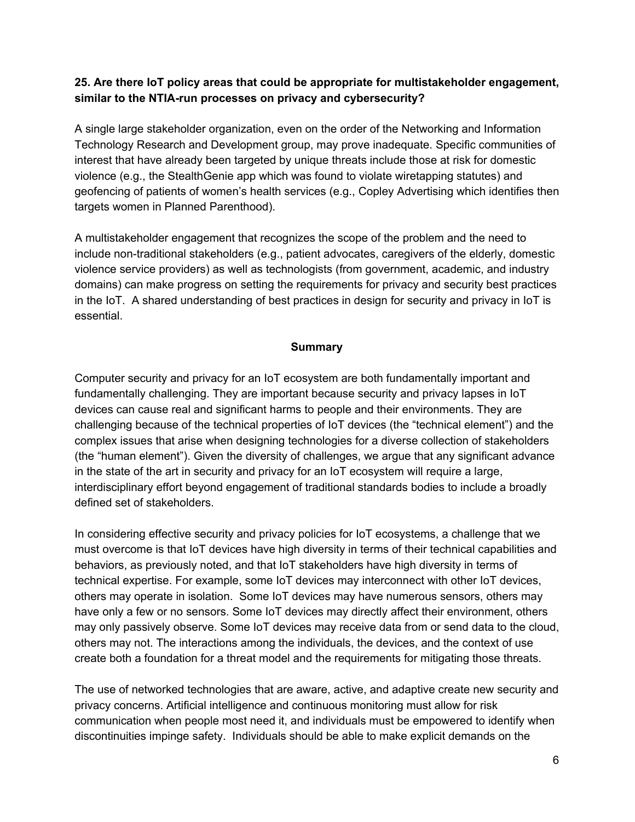#### **25. Are there IoT policy areas that could be appropriate for multistakeholder engagement, similar to the NTIArun processes on privacy and cybersecurity?**

A single large stakeholder organization, even on the order of the Networking and Information Technology Research and Development group, may prove inadequate. Specific communities of interest that have already been targeted by unique threats include those at risk for domestic violence (e.g., the StealthGenie app which was found to violate wiretapping statutes) and geofencing of patients of women's health services (e.g., Copley Advertising which identifies then targets women in Planned Parenthood).

A multistakeholder engagement that recognizes the scope of the problem and the need to include non-traditional stakeholders (e.g., patient advocates, caregivers of the elderly, domestic violence service providers) as well as technologists (from government, academic, and industry domains) can make progress on setting the requirements for privacy and security best practices in the IoT. A shared understanding of best practices in design for security and privacy in IoT is essential.

#### **Summary**

Computer security and privacy for an IoT ecosystem are both fundamentally important and fundamentally challenging. They are important because security and privacy lapses in IoT devices can cause real and significant harms to people and their environments. They are challenging because of the technical properties of IoT devices (the "technical element") and the complex issues that arise when designing technologies for a diverse collection of stakeholders (the "human element"). Given the diversity of challenges, we argue that any significant advance in the state of the art in security and privacy for an IoT ecosystem will require a large, interdisciplinary effort beyond engagement of traditional standards bodies to include a broadly defined set of stakeholders.

In considering effective security and privacy policies for IoT ecosystems, a challenge that we must overcome is that IoT devices have high diversity in terms of their technical capabilities and behaviors, as previously noted, and that IoT stakeholders have high diversity in terms of technical expertise. For example, some IoT devices may interconnect with other IoT devices, others may operate in isolation. Some IoT devices may have numerous sensors, others may have only a few or no sensors. Some IoT devices may directly affect their environment, others may only passively observe. Some IoT devices may receive data from or send data to the cloud, others may not. The interactions among the individuals, the devices, and the context of use create both a foundation for a threat model and the requirements for mitigating those threats.

The use of networked technologies that are aware, active, and adaptive create new security and privacy concerns. Artificial intelligence and continuous monitoring must allow for risk communication when people most need it, and individuals must be empowered to identify when discontinuities impinge safety. Individuals should be able to make explicit demands on the